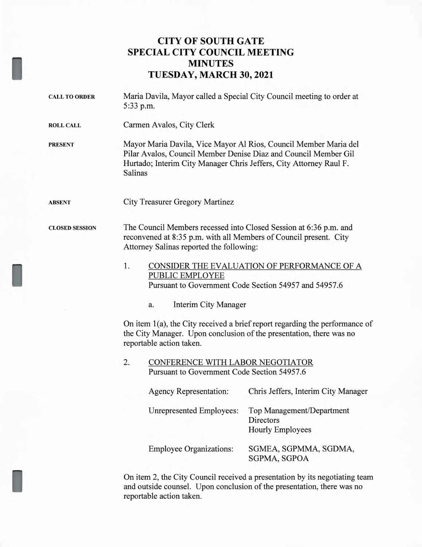## **CITY OF SOUTH GATE SPECIAL CITY COUNCIL MEETING MINUTES TUESDAY, MARCH 30, 2021**

| <b>CALL TO ORDER</b>  | Maria Davila, Mayor called a Special City Council meeting to order at<br>5:33 p.m.                                                                                                                                   |  |  |
|-----------------------|----------------------------------------------------------------------------------------------------------------------------------------------------------------------------------------------------------------------|--|--|
| <b>ROLL CALL</b>      | Carmen Avalos, City Clerk                                                                                                                                                                                            |  |  |
| <b>PRESENT</b>        | Mayor Maria Davila, Vice Mayor Al Rios, Council Member Maria del<br>Pilar Avalos, Council Member Denise Diaz and Council Member Gil<br>Hurtado; Interim City Manager Chris Jeffers, City Attorney Raul F.<br>Salinas |  |  |
| <b>ABSENT</b>         | <b>City Treasurer Gregory Martinez</b>                                                                                                                                                                               |  |  |
| <b>CLOSED SESSION</b> | The Council Members recessed into Closed Session at 6:36 p.m. and<br>reconvened at 8:35 p.m. with all Members of Council present. City<br>Attorney Salinas reported the following:                                   |  |  |
|                       | 1.<br>CONSIDER THE EVALUATION OF PERFORMANCE OF A<br>PUBLIC EMPLOYEE<br>Pursuant to Government Code Section 54957 and 54957.6                                                                                        |  |  |
|                       | <b>Interim City Manager</b><br>a.                                                                                                                                                                                    |  |  |
|                       | On item $1(a)$ , the City received a brief report regarding the performance of<br>the City Manager. Upon conclusion of the presentation, there was no<br>reportable action taken.                                    |  |  |
|                       | 2.<br>CONFERENCE WITH LABOR NEGOTIATOR<br>Pursuant to Government Code Section 54957.6                                                                                                                                |  |  |
|                       | Chris Jeffers, Interim City Manager<br><b>Agency Representation:</b>                                                                                                                                                 |  |  |
|                       | Unrepresented Employees:<br>Top Management/Department<br>Directors<br><b>Hourly Employees</b>                                                                                                                        |  |  |
|                       | <b>Employee Organizations:</b><br>SGMEA, SGPMMA, SGDMA,<br>SGPMA, SGPOA                                                                                                                                              |  |  |
|                       |                                                                                                                                                                                                                      |  |  |

I

On item 2, the City Council received a presentation by its negotiating team and outside counsel. Upon conclusion of the presentation, there was no reportable action taken.